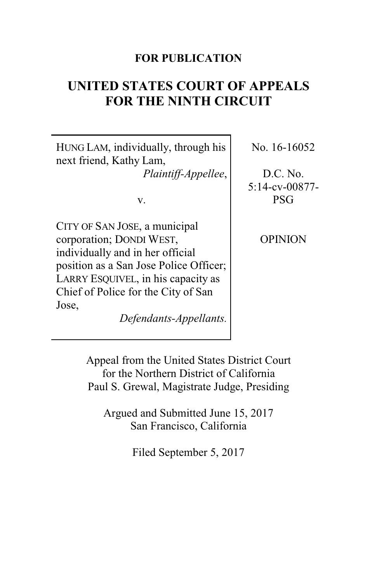# **FOR PUBLICATION**

# **UNITED STATES COURT OF APPEALS FOR THE NINTH CIRCUIT**

HUNG LAM, individually, through his next friend, Kathy Lam, *Plaintiff-Appellee*,

v.

CITY OF SAN JOSE, a municipal corporation; DONDI WEST, individually and in her official position as a San Jose Police Officer; LARRY ESQUIVEL, in his capacity as Chief of Police for the City of San Jose,

*Defendants-Appellants.*

No. 16-16052

D.C. No. 5:14-cv-00877- PSG

OPINION

Appeal from the United States District Court for the Northern District of California Paul S. Grewal, Magistrate Judge, Presiding

Argued and Submitted June 15, 2017 San Francisco, California

Filed September 5, 2017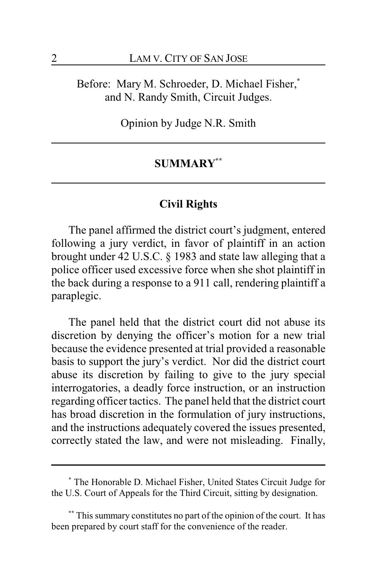Before: Mary M. Schroeder, D. Michael Fisher,**\*** and N. Randy Smith, Circuit Judges.

Opinion by Judge N.R. Smith

# **SUMMARY\*\***

# **Civil Rights**

The panel affirmed the district court's judgment, entered following a jury verdict, in favor of plaintiff in an action brought under 42 U.S.C. § 1983 and state law alleging that a police officer used excessive force when she shot plaintiff in the back during a response to a 911 call, rendering plaintiff a paraplegic.

The panel held that the district court did not abuse its discretion by denying the officer's motion for a new trial because the evidence presented at trial provided a reasonable basis to support the jury's verdict. Nor did the district court abuse its discretion by failing to give to the jury special interrogatories, a deadly force instruction, or an instruction regarding officer tactics. The panel held that the district court has broad discretion in the formulation of jury instructions, and the instructions adequately covered the issues presented, correctly stated the law, and were not misleading. Finally,

**<sup>\*</sup>** The Honorable D. Michael Fisher, United States Circuit Judge for the U.S. Court of Appeals for the Third Circuit, sitting by designation.

This summary constitutes no part of the opinion of the court. It has been prepared by court staff for the convenience of the reader.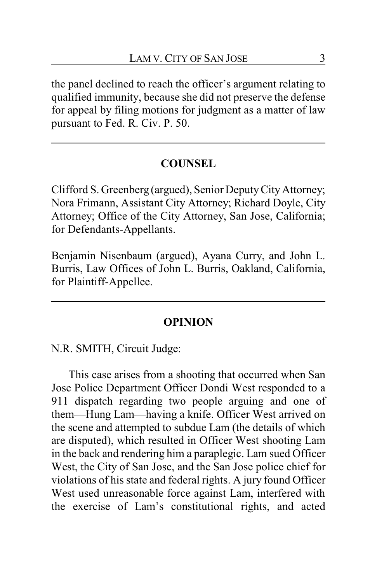the panel declined to reach the officer's argument relating to qualified immunity, because she did not preserve the defense for appeal by filing motions for judgment as a matter of law pursuant to Fed. R. Civ. P. 50.

# **COUNSEL**

Clifford S. Greenberg (argued), Senior DeputyCityAttorney; Nora Frimann, Assistant City Attorney; Richard Doyle, City Attorney; Office of the City Attorney, San Jose, California; for Defendants-Appellants.

Benjamin Nisenbaum (argued), Ayana Curry, and John L. Burris, Law Offices of John L. Burris, Oakland, California, for Plaintiff-Appellee.

## **OPINION**

N.R. SMITH, Circuit Judge:

This case arises from a shooting that occurred when San Jose Police Department Officer Dondi West responded to a 911 dispatch regarding two people arguing and one of them—Hung Lam—having a knife. Officer West arrived on the scene and attempted to subdue Lam (the details of which are disputed), which resulted in Officer West shooting Lam in the back and rendering him a paraplegic. Lam sued Officer West, the City of San Jose, and the San Jose police chief for violations of his state and federal rights. A jury found Officer West used unreasonable force against Lam, interfered with the exercise of Lam's constitutional rights, and acted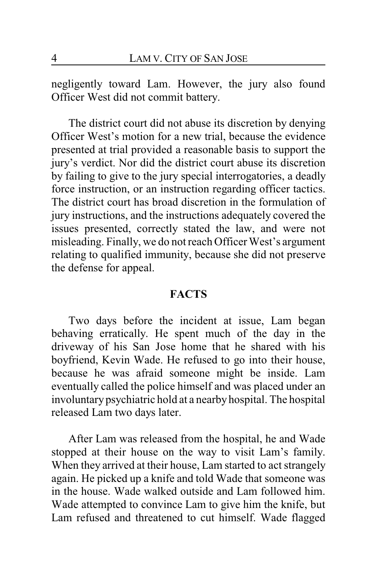negligently toward Lam. However, the jury also found Officer West did not commit battery.

The district court did not abuse its discretion by denying Officer West's motion for a new trial, because the evidence presented at trial provided a reasonable basis to support the jury's verdict. Nor did the district court abuse its discretion by failing to give to the jury special interrogatories, a deadly force instruction, or an instruction regarding officer tactics. The district court has broad discretion in the formulation of jury instructions, and the instructions adequately covered the issues presented, correctly stated the law, and were not misleading. Finally, we do not reach Officer West's argument relating to qualified immunity, because she did not preserve the defense for appeal.

# **FACTS**

Two days before the incident at issue, Lam began behaving erratically. He spent much of the day in the driveway of his San Jose home that he shared with his boyfriend, Kevin Wade. He refused to go into their house, because he was afraid someone might be inside. Lam eventually called the police himself and was placed under an involuntary psychiatric hold at a nearby hospital. The hospital released Lam two days later.

After Lam was released from the hospital, he and Wade stopped at their house on the way to visit Lam's family. When they arrived at their house, Lam started to act strangely again. He picked up a knife and told Wade that someone was in the house. Wade walked outside and Lam followed him. Wade attempted to convince Lam to give him the knife, but Lam refused and threatened to cut himself. Wade flagged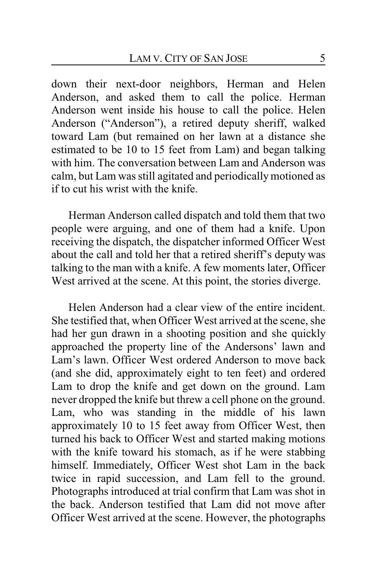down their next-door neighbors, Herman and Helen Anderson, and asked them to call the police. Herman Anderson went inside his house to call the police. Helen Anderson ("Anderson"), a retired deputy sheriff, walked toward Lam (but remained on her lawn at a distance she estimated to be 10 to 15 feet from Lam) and began talking with him. The conversation between Lam and Anderson was calm, but Lam was still agitated and periodicallymotioned as if to cut his wrist with the knife.

Herman Anderson called dispatch and told them that two people were arguing, and one of them had a knife. Upon receiving the dispatch, the dispatcher informed Officer West about the call and told her that a retired sheriff's deputy was talking to the man with a knife. A few moments later, Officer West arrived at the scene. At this point, the stories diverge.

Helen Anderson had a clear view of the entire incident. She testified that, when Officer West arrived at the scene, she had her gun drawn in a shooting position and she quickly approached the property line of the Andersons' lawn and Lam's lawn. Officer West ordered Anderson to move back (and she did, approximately eight to ten feet) and ordered Lam to drop the knife and get down on the ground. Lam never dropped the knife but threw a cell phone on the ground. Lam, who was standing in the middle of his lawn approximately 10 to 15 feet away from Officer West, then turned his back to Officer West and started making motions with the knife toward his stomach, as if he were stabbing himself. Immediately, Officer West shot Lam in the back twice in rapid succession, and Lam fell to the ground. Photographs introduced at trial confirm that Lam was shot in the back. Anderson testified that Lam did not move after Officer West arrived at the scene. However, the photographs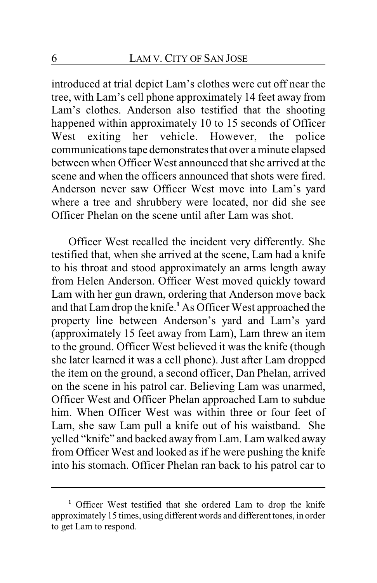introduced at trial depict Lam's clothes were cut off near the tree, with Lam's cell phone approximately 14 feet away from Lam's clothes. Anderson also testified that the shooting happened within approximately 10 to 15 seconds of Officer West exiting her vehicle. However, the police communications tape demonstrates that over a minute elapsed between when Officer West announced that she arrived at the scene and when the officers announced that shots were fired. Anderson never saw Officer West move into Lam's yard where a tree and shrubbery were located, nor did she see Officer Phelan on the scene until after Lam was shot.

Officer West recalled the incident very differently. She testified that, when she arrived at the scene, Lam had a knife to his throat and stood approximately an arms length away from Helen Anderson. Officer West moved quickly toward Lam with her gun drawn, ordering that Anderson move back and that Lam drop the knife.**<sup>1</sup>** As Officer West approached the property line between Anderson's yard and Lam's yard (approximately 15 feet away from Lam), Lam threw an item to the ground. Officer West believed it was the knife (though she later learned it was a cell phone). Just after Lam dropped the item on the ground, a second officer, Dan Phelan, arrived on the scene in his patrol car. Believing Lam was unarmed, Officer West and Officer Phelan approached Lam to subdue him. When Officer West was within three or four feet of Lam, she saw Lam pull a knife out of his waistband. She yelled "knife" and backed away from Lam. Lam walked away from Officer West and looked as if he were pushing the knife into his stomach. Officer Phelan ran back to his patrol car to

**<sup>1</sup>** Officer West testified that she ordered Lam to drop the knife approximately 15 times, using different words and different tones, in order to get Lam to respond.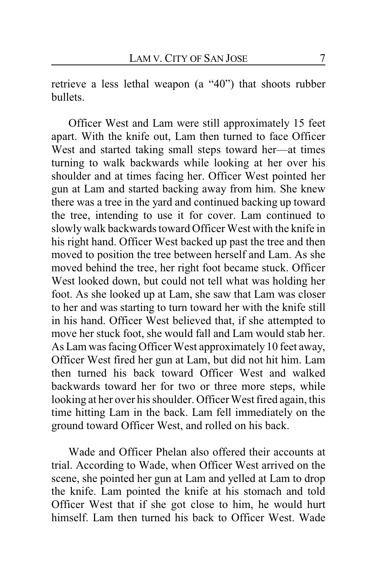retrieve a less lethal weapon (a "40") that shoots rubber bullets.

Officer West and Lam were still approximately 15 feet apart. With the knife out, Lam then turned to face Officer West and started taking small steps toward her—at times turning to walk backwards while looking at her over his shoulder and at times facing her. Officer West pointed her gun at Lam and started backing away from him. She knew there was a tree in the yard and continued backing up toward the tree, intending to use it for cover. Lam continued to slowly walk backwards toward Officer West with the knife in his right hand. Officer West backed up past the tree and then moved to position the tree between herself and Lam. As she moved behind the tree, her right foot became stuck. Officer West looked down, but could not tell what was holding her foot. As she looked up at Lam, she saw that Lam was closer to her and was starting to turn toward her with the knife still in his hand. Officer West believed that, if she attempted to move her stuck foot, she would fall and Lam would stab her. As Lam was facing Officer West approximately 10 feet away, Officer West fired her gun at Lam, but did not hit him. Lam then turned his back toward Officer West and walked backwards toward her for two or three more steps, while looking at her over his shoulder. Officer West fired again, this time hitting Lam in the back. Lam fell immediately on the ground toward Officer West, and rolled on his back.

Wade and Officer Phelan also offered their accounts at trial. According to Wade, when Officer West arrived on the scene, she pointed her gun at Lam and yelled at Lam to drop the knife. Lam pointed the knife at his stomach and told Officer West that if she got close to him, he would hurt himself. Lam then turned his back to Officer West. Wade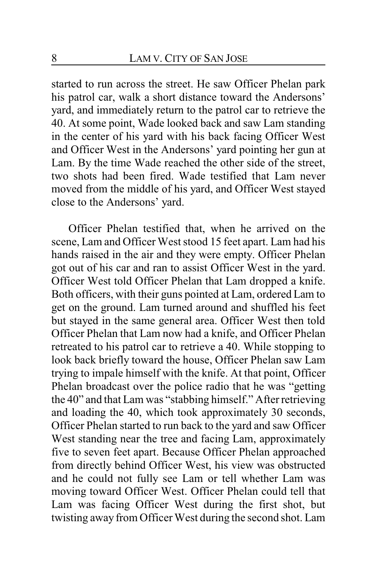started to run across the street. He saw Officer Phelan park his patrol car, walk a short distance toward the Andersons' yard, and immediately return to the patrol car to retrieve the 40. At some point, Wade looked back and saw Lam standing in the center of his yard with his back facing Officer West and Officer West in the Andersons' yard pointing her gun at Lam. By the time Wade reached the other side of the street, two shots had been fired. Wade testified that Lam never moved from the middle of his yard, and Officer West stayed close to the Andersons' yard.

Officer Phelan testified that, when he arrived on the scene, Lam and Officer West stood 15 feet apart. Lam had his hands raised in the air and they were empty. Officer Phelan got out of his car and ran to assist Officer West in the yard. Officer West told Officer Phelan that Lam dropped a knife. Both officers, with their guns pointed at Lam, ordered Lam to get on the ground. Lam turned around and shuffled his feet but stayed in the same general area. Officer West then told Officer Phelan that Lam now had a knife, and Officer Phelan retreated to his patrol car to retrieve a 40. While stopping to look back briefly toward the house, Officer Phelan saw Lam trying to impale himself with the knife. At that point, Officer Phelan broadcast over the police radio that he was "getting the 40" and that Lam was "stabbing himself." After retrieving and loading the 40, which took approximately 30 seconds, Officer Phelan started to run back to the yard and saw Officer West standing near the tree and facing Lam, approximately five to seven feet apart. Because Officer Phelan approached from directly behind Officer West, his view was obstructed and he could not fully see Lam or tell whether Lam was moving toward Officer West. Officer Phelan could tell that Lam was facing Officer West during the first shot, but twisting away from Officer West during the second shot. Lam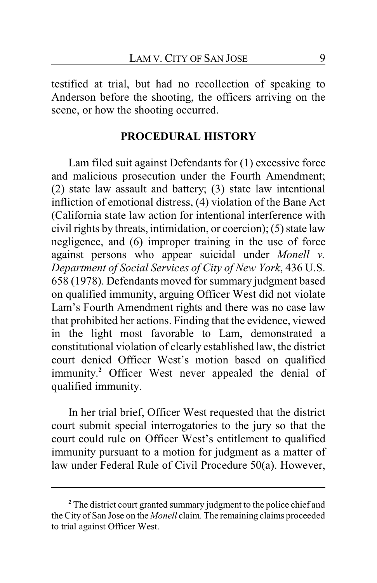testified at trial, but had no recollection of speaking to Anderson before the shooting, the officers arriving on the scene, or how the shooting occurred.

# **PROCEDURAL HISTORY**

Lam filed suit against Defendants for (1) excessive force and malicious prosecution under the Fourth Amendment; (2) state law assault and battery; (3) state law intentional infliction of emotional distress, (4) violation of the Bane Act (California state law action for intentional interference with civil rights by threats, intimidation, or coercion); (5) state law negligence, and (6) improper training in the use of force against persons who appear suicidal under *Monell v. Department of Social Services of City of New York*, 436 U.S. 658 (1978). Defendants moved for summary judgment based on qualified immunity, arguing Officer West did not violate Lam's Fourth Amendment rights and there was no case law that prohibited her actions. Finding that the evidence, viewed in the light most favorable to Lam, demonstrated a constitutional violation of clearly established law, the district court denied Officer West's motion based on qualified immunity. **<sup>2</sup>** Officer West never appealed the denial of qualified immunity.

In her trial brief, Officer West requested that the district court submit special interrogatories to the jury so that the court could rule on Officer West's entitlement to qualified immunity pursuant to a motion for judgment as a matter of law under Federal Rule of Civil Procedure 50(a). However,

**<sup>2</sup>** The district court granted summary judgment to the police chief and the City of San Jose on the *Monell* claim. The remaining claims proceeded to trial against Officer West.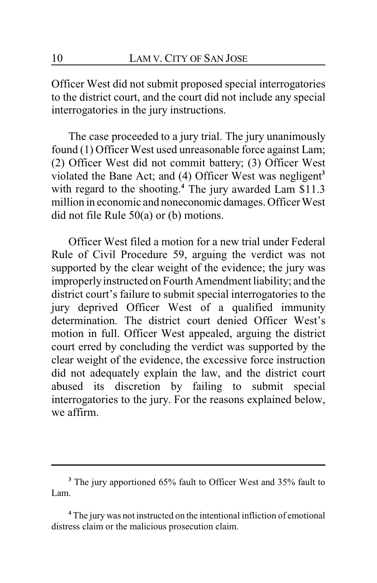Officer West did not submit proposed special interrogatories to the district court, and the court did not include any special interrogatories in the jury instructions.

The case proceeded to a jury trial. The jury unanimously found (1) Officer West used unreasonable force against Lam; (2) Officer West did not commit battery; (3) Officer West violated the Bane Act; and (4) Officer West was negligent**<sup>3</sup>** with regard to the shooting. **<sup>4</sup>** The jury awarded Lam \$11.3 million in economic and noneconomic damages. Officer West did not file Rule 50(a) or (b) motions.

Officer West filed a motion for a new trial under Federal Rule of Civil Procedure 59, arguing the verdict was not supported by the clear weight of the evidence; the jury was improperly instructed on Fourth Amendment liability; and the district court's failure to submit special interrogatories to the jury deprived Officer West of a qualified immunity determination. The district court denied Officer West's motion in full. Officer West appealed, arguing the district court erred by concluding the verdict was supported by the clear weight of the evidence, the excessive force instruction did not adequately explain the law, and the district court abused its discretion by failing to submit special interrogatories to the jury. For the reasons explained below, we affirm.

**<sup>3</sup>** The jury apportioned 65% fault to Officer West and 35% fault to Lam.

**<sup>4</sup>** The jury was not instructed on the intentional infliction of emotional distress claim or the malicious prosecution claim.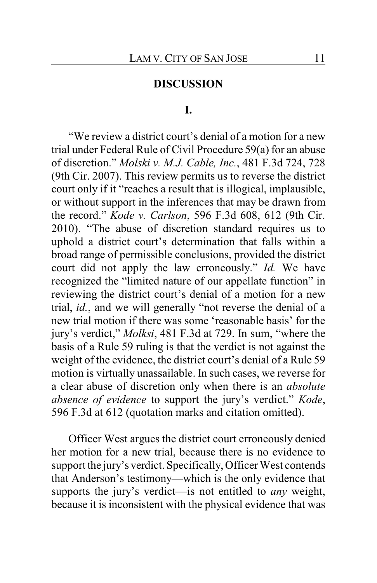## **DISCUSSION**

#### **I.**

"We review a district court's denial of a motion for a new trial under Federal Rule of Civil Procedure 59(a) for an abuse of discretion." *Molski v. M.J. Cable, Inc.*, 481 F.3d 724, 728 (9th Cir. 2007). This review permits us to reverse the district court only if it "reaches a result that is illogical, implausible, or without support in the inferences that may be drawn from the record." *Kode v. Carlson*, 596 F.3d 608, 612 (9th Cir. 2010). "The abuse of discretion standard requires us to uphold a district court's determination that falls within a broad range of permissible conclusions, provided the district court did not apply the law erroneously." *Id.* We have recognized the "limited nature of our appellate function" in reviewing the district court's denial of a motion for a new trial, *id.*, and we will generally "not reverse the denial of a new trial motion if there was some 'reasonable basis' for the jury's verdict," *Molksi*, 481 F.3d at 729. In sum, "where the basis of a Rule 59 ruling is that the verdict is not against the weight of the evidence, the district court's denial of a Rule 59 motion is virtually unassailable. In such cases, we reverse for a clear abuse of discretion only when there is an *absolute absence of evidence* to support the jury's verdict." *Kode*, 596 F.3d at 612 (quotation marks and citation omitted).

Officer West argues the district court erroneously denied her motion for a new trial, because there is no evidence to support the jury's verdict. Specifically, Officer West contends that Anderson's testimony—which is the only evidence that supports the jury's verdict—is not entitled to *any* weight, because it is inconsistent with the physical evidence that was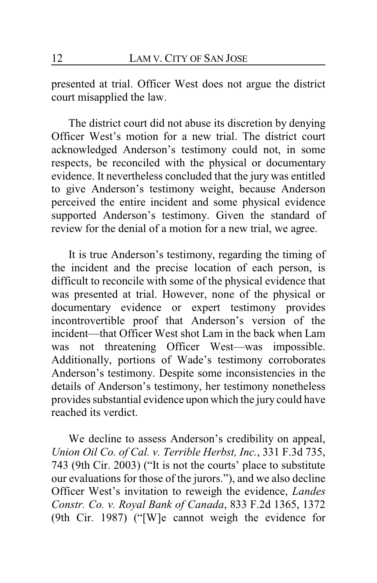presented at trial. Officer West does not argue the district court misapplied the law.

The district court did not abuse its discretion by denying Officer West's motion for a new trial. The district court acknowledged Anderson's testimony could not, in some respects, be reconciled with the physical or documentary evidence. It nevertheless concluded that the jury was entitled to give Anderson's testimony weight, because Anderson perceived the entire incident and some physical evidence supported Anderson's testimony. Given the standard of review for the denial of a motion for a new trial, we agree.

It is true Anderson's testimony, regarding the timing of the incident and the precise location of each person, is difficult to reconcile with some of the physical evidence that was presented at trial. However, none of the physical or documentary evidence or expert testimony provides incontrovertible proof that Anderson's version of the incident—that Officer West shot Lam in the back when Lam was not threatening Officer West—was impossible. Additionally, portions of Wade's testimony corroborates Anderson's testimony. Despite some inconsistencies in the details of Anderson's testimony, her testimony nonetheless provides substantial evidence upon which the jury could have reached its verdict.

We decline to assess Anderson's credibility on appeal, *Union Oil Co. of Cal. v. Terrible Herbst, Inc.*, 331 F.3d 735, 743 (9th Cir. 2003) ("It is not the courts' place to substitute our evaluations for those of the jurors."), and we also decline Officer West's invitation to reweigh the evidence, *Landes Constr. Co. v. Royal Bank of Canada*, 833 F.2d 1365, 1372 (9th Cir. 1987) ("[W]e cannot weigh the evidence for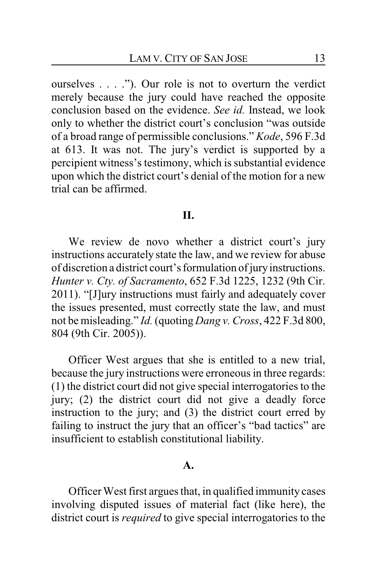ourselves . . . ."). Our role is not to overturn the verdict merely because the jury could have reached the opposite conclusion based on the evidence. *See id.* Instead, we look only to whether the district court's conclusion "was outside of a broad range of permissible conclusions." *Kode*, 596 F.3d at 613. It was not. The jury's verdict is supported by a percipient witness's testimony, which is substantial evidence upon which the district court's denial of the motion for a new trial can be affirmed.

# **II.**

We review de novo whether a district court's jury instructions accurately state the law, and we review for abuse of discretion a district court's formulation of jury instructions. *Hunter v. Cty. of Sacramento*, 652 F.3d 1225, 1232 (9th Cir. 2011). "[J]ury instructions must fairly and adequately cover the issues presented, must correctly state the law, and must not be misleading." *Id.* (quoting *Dang v. Cross*, 422 F.3d 800, 804 (9th Cir. 2005)).

Officer West argues that she is entitled to a new trial, because the jury instructions were erroneous in three regards: (1) the district court did not give special interrogatories to the jury; (2) the district court did not give a deadly force instruction to the jury; and (3) the district court erred by failing to instruct the jury that an officer's "bad tactics" are insufficient to establish constitutional liability.

#### **A.**

Officer West first argues that, in qualified immunity cases involving disputed issues of material fact (like here), the district court is *required* to give special interrogatories to the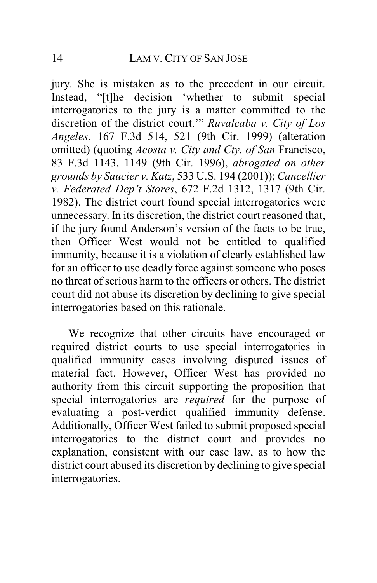jury. She is mistaken as to the precedent in our circuit. Instead, "[t]he decision 'whether to submit special interrogatories to the jury is a matter committed to the discretion of the district court.'" *Ruvalcaba v. City of Los Angeles*, 167 F.3d 514, 521 (9th Cir. 1999) (alteration omitted) (quoting *Acosta v. City and Cty. of San* Francisco, 83 F.3d 1143, 1149 (9th Cir. 1996), *abrogated on other grounds by Saucier v. Katz*, 533 U.S. 194 (2001)); *Cancellier v. Federated Dep't Stores*, 672 F.2d 1312, 1317 (9th Cir. 1982). The district court found special interrogatories were unnecessary. In its discretion, the district court reasoned that, if the jury found Anderson's version of the facts to be true, then Officer West would not be entitled to qualified immunity, because it is a violation of clearly established law for an officer to use deadly force against someone who poses no threat of serious harm to the officers or others. The district court did not abuse its discretion by declining to give special interrogatories based on this rationale.

We recognize that other circuits have encouraged or required district courts to use special interrogatories in qualified immunity cases involving disputed issues of material fact. However, Officer West has provided no authority from this circuit supporting the proposition that special interrogatories are *required* for the purpose of evaluating a post-verdict qualified immunity defense. Additionally, Officer West failed to submit proposed special interrogatories to the district court and provides no explanation, consistent with our case law, as to how the district court abused its discretion by declining to give special interrogatories.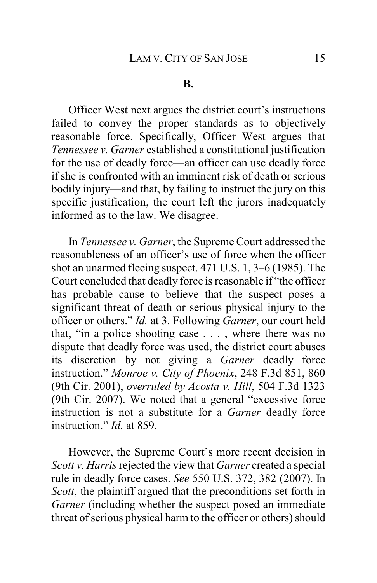#### **B.**

Officer West next argues the district court's instructions failed to convey the proper standards as to objectively reasonable force. Specifically, Officer West argues that *Tennessee v. Garner* established a constitutional justification for the use of deadly force—an officer can use deadly force if she is confronted with an imminent risk of death or serious bodily injury—and that, by failing to instruct the jury on this specific justification, the court left the jurors inadequately informed as to the law. We disagree.

In *Tennessee v. Garner*, the Supreme Court addressed the reasonableness of an officer's use of force when the officer shot an unarmed fleeing suspect. 471 U.S. 1, 3–6 (1985). The Court concluded that deadly force is reasonable if "the officer has probable cause to believe that the suspect poses a significant threat of death or serious physical injury to the officer or others." *Id.* at 3. Following *Garner*, our court held that, "in a police shooting case . . . , where there was no dispute that deadly force was used, the district court abuses its discretion by not giving a *Garner* deadly force instruction." *Monroe v. City of Phoenix*, 248 F.3d 851, 860 (9th Cir. 2001), *overruled by Acosta v. Hill*, 504 F.3d 1323 (9th Cir. 2007). We noted that a general "excessive force instruction is not a substitute for a *Garner* deadly force instruction." *Id.* at 859.

However, the Supreme Court's more recent decision in *Scott v. Harris*rejected the view that *Garner* created a special rule in deadly force cases. *See* 550 U.S. 372, 382 (2007). In *Scott*, the plaintiff argued that the preconditions set forth in *Garner* (including whether the suspect posed an immediate threat of serious physical harm to the officer or others) should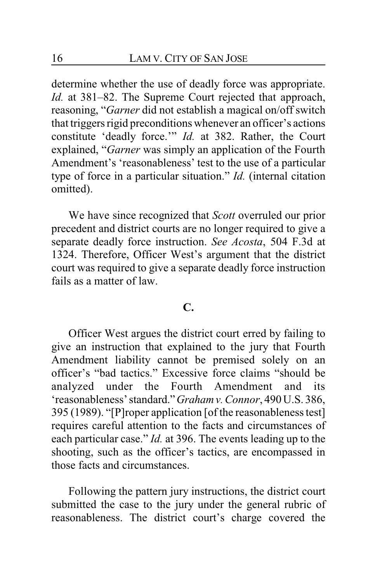determine whether the use of deadly force was appropriate. *Id.* at 381–82. The Supreme Court rejected that approach, reasoning, "*Garner* did not establish a magical on/off switch that triggers rigid preconditions whenever an officer's actions constitute 'deadly force.'" *Id.* at 382. Rather, the Court explained, "*Garner* was simply an application of the Fourth Amendment's 'reasonableness' test to the use of a particular type of force in a particular situation." *Id.* (internal citation omitted).

We have since recognized that *Scott* overruled our prior precedent and district courts are no longer required to give a separate deadly force instruction. *See Acosta*, 504 F.3d at 1324. Therefore, Officer West's argument that the district court was required to give a separate deadly force instruction fails as a matter of law.

## **C.**

Officer West argues the district court erred by failing to give an instruction that explained to the jury that Fourth Amendment liability cannot be premised solely on an officer's "bad tactics." Excessive force claims "should be analyzed under the Fourth Amendment and its 'reasonableness' standard."*Grahamv.Connor*, 490 U.S. 386, 395 (1989). "[P]roper application [of the reasonableness test] requires careful attention to the facts and circumstances of each particular case." *Id.* at 396. The events leading up to the shooting, such as the officer's tactics, are encompassed in those facts and circumstances.

Following the pattern jury instructions, the district court submitted the case to the jury under the general rubric of reasonableness. The district court's charge covered the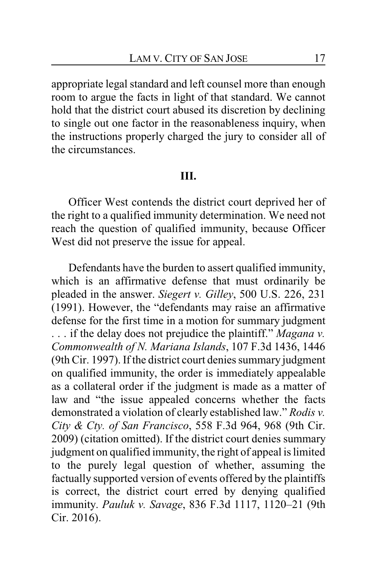appropriate legal standard and left counsel more than enough room to argue the facts in light of that standard. We cannot hold that the district court abused its discretion by declining to single out one factor in the reasonableness inquiry, when the instructions properly charged the jury to consider all of the circumstances.

#### **III.**

Officer West contends the district court deprived her of the right to a qualified immunity determination. We need not reach the question of qualified immunity, because Officer West did not preserve the issue for appeal.

Defendants have the burden to assert qualified immunity, which is an affirmative defense that must ordinarily be pleaded in the answer. *Siegert v. Gilley*, 500 U.S. 226, 231 (1991). However, the "defendants may raise an affirmative defense for the first time in a motion for summary judgment . . . if the delay does not prejudice the plaintiff." *Magana v. Commonwealth of N. Mariana Islands*, 107 F.3d 1436, 1446 (9th Cir. 1997). If the district court denies summary judgment on qualified immunity, the order is immediately appealable as a collateral order if the judgment is made as a matter of law and "the issue appealed concerns whether the facts demonstrated a violation of clearly established law." *Rodis v. City & Cty. of San Francisco*, 558 F.3d 964, 968 (9th Cir. 2009) (citation omitted). If the district court denies summary judgment on qualified immunity, the right of appeal is limited to the purely legal question of whether, assuming the factually supported version of events offered by the plaintiffs is correct, the district court erred by denying qualified immunity. *Pauluk v. Savage*, 836 F.3d 1117, 1120–21 (9th Cir. 2016).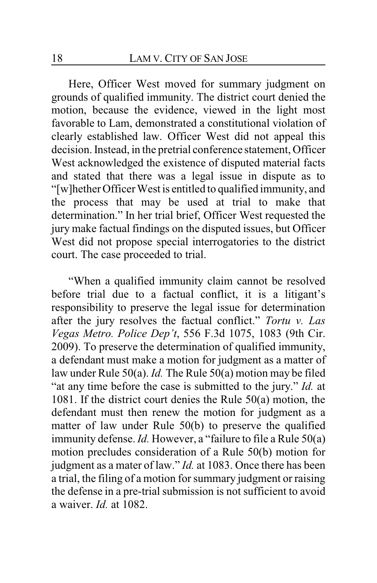Here, Officer West moved for summary judgment on grounds of qualified immunity. The district court denied the motion, because the evidence, viewed in the light most favorable to Lam, demonstrated a constitutional violation of clearly established law. Officer West did not appeal this decision. Instead, in the pretrial conference statement, Officer West acknowledged the existence of disputed material facts and stated that there was a legal issue in dispute as to "[w]hether Officer West is entitled to qualified immunity, and the process that may be used at trial to make that determination." In her trial brief, Officer West requested the jury make factual findings on the disputed issues, but Officer West did not propose special interrogatories to the district court. The case proceeded to trial.

"When a qualified immunity claim cannot be resolved before trial due to a factual conflict, it is a litigant's responsibility to preserve the legal issue for determination after the jury resolves the factual conflict." *Tortu v. Las Vegas Metro. Police Dep't*, 556 F.3d 1075, 1083 (9th Cir. 2009). To preserve the determination of qualified immunity, a defendant must make a motion for judgment as a matter of law under Rule 50(a). *Id.* The Rule 50(a) motion may be filed "at any time before the case is submitted to the jury." *Id.* at 1081. If the district court denies the Rule 50(a) motion, the defendant must then renew the motion for judgment as a matter of law under Rule 50(b) to preserve the qualified immunity defense. *Id.* However, a "failure to file a Rule 50(a) motion precludes consideration of a Rule 50(b) motion for judgment as a mater of law." *Id.* at 1083. Once there has been a trial, the filing of a motion for summary judgment or raising the defense in a pre-trial submission is not sufficient to avoid a waiver. *Id.* at 1082.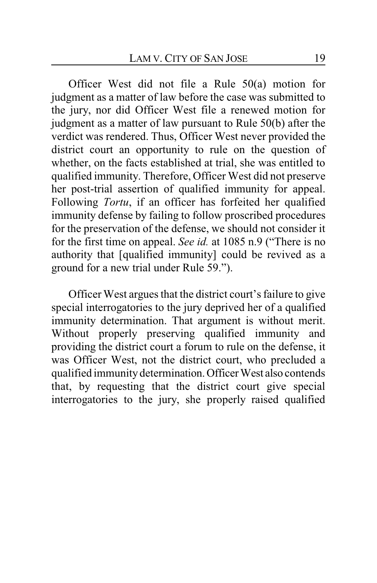Officer West did not file a Rule 50(a) motion for judgment as a matter of law before the case was submitted to the jury, nor did Officer West file a renewed motion for judgment as a matter of law pursuant to Rule 50(b) after the verdict was rendered. Thus, Officer West never provided the district court an opportunity to rule on the question of whether, on the facts established at trial, she was entitled to qualified immunity. Therefore, Officer West did not preserve her post-trial assertion of qualified immunity for appeal. Following *Tortu*, if an officer has forfeited her qualified immunity defense by failing to follow proscribed procedures for the preservation of the defense, we should not consider it for the first time on appeal. *See id.* at 1085 n.9 ("There is no authority that [qualified immunity] could be revived as a ground for a new trial under Rule 59.").

Officer West argues that the district court's failure to give special interrogatories to the jury deprived her of a qualified immunity determination. That argument is without merit. Without properly preserving qualified immunity and providing the district court a forum to rule on the defense, it was Officer West, not the district court, who precluded a qualified immunity determination. Officer West also contends that, by requesting that the district court give special interrogatories to the jury, she properly raised qualified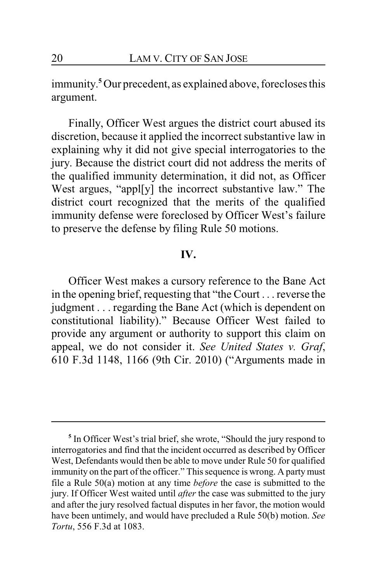immunity. **<sup>5</sup>** Our precedent, as explained above, forecloses this argument.

Finally, Officer West argues the district court abused its discretion, because it applied the incorrect substantive law in explaining why it did not give special interrogatories to the jury. Because the district court did not address the merits of the qualified immunity determination, it did not, as Officer West argues, "appl[y] the incorrect substantive law." The district court recognized that the merits of the qualified immunity defense were foreclosed by Officer West's failure to preserve the defense by filing Rule 50 motions.

# **IV.**

Officer West makes a cursory reference to the Bane Act in the opening brief, requesting that "the Court . . . reverse the judgment . . . regarding the Bane Act (which is dependent on constitutional liability)." Because Officer West failed to provide any argument or authority to support this claim on appeal, we do not consider it. *See United States v. Graf*, 610 F.3d 1148, 1166 (9th Cir. 2010) ("Arguments made in

<sup>&</sup>lt;sup>5</sup> In Officer West's trial brief, she wrote, "Should the jury respond to interrogatories and find that the incident occurred as described by Officer West, Defendants would then be able to move under Rule 50 for qualified immunity on the part of the officer." This sequence is wrong. A party must file a Rule 50(a) motion at any time *before* the case is submitted to the jury. If Officer West waited until *after* the case was submitted to the jury and after the jury resolved factual disputes in her favor, the motion would have been untimely, and would have precluded a Rule 50(b) motion. *See Tortu*, 556 F.3d at 1083.